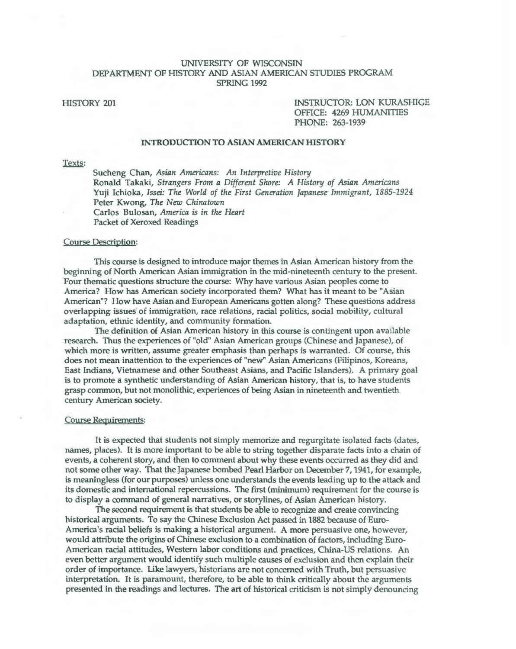# UNIVERSITY OF WISCONSIN DEPARTMENT OF HISTORY AND ASIAN AMERICAN STUDIES PROGRAM SPRING 1992

HISTORY 201 INSTRUCTOR: LON KURASHIGE OFFICE: 4269 HUMANITIES PHONE: 263-1939

### INTRODUCTION TO ASIAN AMERICAN HISTORY

# Texts:

Sucheng Chan, *Asian Americans: An Interpretive History*  Ronald Takaki, *Strangers From a Different Shore: A History of Asian Americans*  Yuji Ichioka, *Issei: The World of the First Generation Japanese Immigrant, 1885-1924*  Peter Kwong, *The New Chinatown*  Carlos Bulosan, *America is in the Heart*  Packet of Xeroxed Readings

#### Course Description:

This course is designed to introduce major themes in Asian American history from the beginning of North American Asian immigration in the mid-nineteenth century to the present. Four thematic questions structure the course: Why have various Asian peoples come to America? How has American society incorporated them? What has it meant to be "Asian American"? How have Asian and European Americans gotten along? These questions address overlapping issues of immigration, race relations, racial politics, social mobility, cultural adaptation, ethnic identity, and community formation.

The definition of Asian American history in this course is contingent upon available research. Thus the experiences of "old" Asian American groups (Chinese and Japanese), of which more is written, assume greater emphasis than perhaps is warranted. Of course, this does not mean inattention to the experiences of "new" Asian Americans (Filipinos, Koreans, East Indians, Vietnamese and other Southeast Asians, and Pacific Islanders). A primary goal is to promote a synthetic understanding of Asian American history, that is, to have students grasp common, but not monolithic, experiences of being Asian in nineteenth and twentieth century American society.

#### Course Requirements:

It is expected that students not simply memorize and regurgitate isolated facts (dates, names, places). It is more important to be able to string together disparate facts into a chain of events, a coherent story, and then to comment about why these events occurred as they did and not some other way. That the Japanese bombed Pearl Harbor on December 7, 1941, for example, is meaningless (for our purposes) unless one understands the events leading up to the attack and its domestic and international repercussions. The first (minimum) requirement for the course is to display a command of general narratives, or storylines, of Asian American history.

The second requirement is that students be able to recognize and create convincing historical arguments. To say the Chinese Exclusion Act passed in 1882 because of Euro-America's racial beliefs is making a historical argument. A more persuasive one, however, would attribute the origins of Chinese exclusion to a combination of factors, including Euro-American racial attitudes, Western labor conditions and practices, China-US relations. An even better argument would identify such multiple causes of exclusion and then explain their order of importance. Like lawyers, historians are not concerned with Truth, but persuasive interpretation. It is paramount, therefore, to be able to think critically about the arguments presented in the readings and lectures. The art of historical criticism is not simply denouncing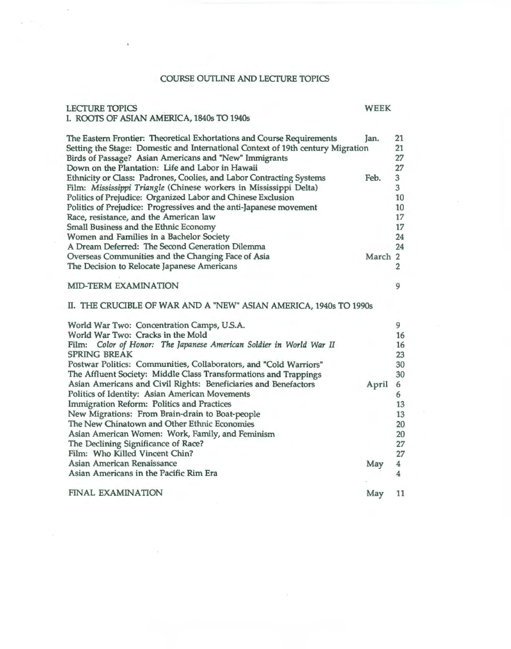# COURSE OUTLINE AND LECfURE TOPICS

# LECTURE TOPICS WEEK I. ROOTS OF ASIAN AMERICA, 1840s TO 1940s

| The Eastern Frontier: Theoretical Exhortations and Course Requirements<br>Setting the Stage: Domestic and International Context of 19th century Migration<br>Birds of Passage? Asian Americans and "New" Immigrants<br>Down on the Plantation: Life and Labor in Hawaii | Jan.    | 21<br>21<br>27<br>27    |
|-------------------------------------------------------------------------------------------------------------------------------------------------------------------------------------------------------------------------------------------------------------------------|---------|-------------------------|
| Ethnicity or Class: Padrones, Coolies, and Labor Contracting Systems                                                                                                                                                                                                    | Feb.    | $\overline{\mathbf{3}}$ |
| Film: Mississippi Triangle (Chinese workers in Mississippi Delta)                                                                                                                                                                                                       |         | 3                       |
| Politics of Prejudice: Organized Labor and Chinese Exclusion                                                                                                                                                                                                            |         | 10                      |
| Politics of Prejudice: Progressives and the anti-Japanese movement                                                                                                                                                                                                      |         | 10                      |
| Race, resistance, and the American law                                                                                                                                                                                                                                  |         | 17                      |
| <b>Small Business and the Ethnic Economy</b>                                                                                                                                                                                                                            |         | 17                      |
| Women and Families in a Bachelor Society                                                                                                                                                                                                                                |         | 24                      |
| A Dream Deferred: The Second Generation Dilemma                                                                                                                                                                                                                         |         | 24                      |
| Overseas Communities and the Changing Face of Asia                                                                                                                                                                                                                      | March 2 |                         |
| The Decision to Relocate Japanese Americans                                                                                                                                                                                                                             |         | $\overline{2}$          |
| <b>MID-TERM EXAMINATION</b>                                                                                                                                                                                                                                             |         | 9                       |
| II. THE CRUCIBLE OF WAR AND A "NEW" ASIAN AMERICA, 1940s TO 1990s                                                                                                                                                                                                       |         |                         |
| World War Two: Concentration Camps, U.S.A.                                                                                                                                                                                                                              |         | 9                       |
| World War Two: Cracks in the Mold                                                                                                                                                                                                                                       |         | 16                      |
| Color of Honor: The Japanese American Soldier in World War II<br>Film:                                                                                                                                                                                                  |         | 16                      |
| <b>SPRING BREAK</b>                                                                                                                                                                                                                                                     |         | 23                      |
| Postwar Politics: Communities, Collaborators, and "Cold Warriors"                                                                                                                                                                                                       |         | 30                      |
| The Affluent Society: Middle Class Transformations and Trappings                                                                                                                                                                                                        |         | 30                      |
| Asian Americans and Civil Rights: Beneficiaries and Benefactors                                                                                                                                                                                                         | April   | 6                       |
| Politics of Identity: Asian American Movements                                                                                                                                                                                                                          |         | 6                       |
| Immigration Reform: Politics and Practices                                                                                                                                                                                                                              |         | 13                      |
| New Migrations: From Brain-drain to Boat-people                                                                                                                                                                                                                         |         | 13                      |
| The New Chinatown and Other Ethnic Economies                                                                                                                                                                                                                            |         | 20                      |
| Asian American Women: Work, Family, and Feminism                                                                                                                                                                                                                        |         | 20                      |
| The Declining Significance of Race?                                                                                                                                                                                                                                     |         | 27                      |
| Film: Who Killed Vincent Chin?                                                                                                                                                                                                                                          |         | 27                      |
| Asian American Renaissance                                                                                                                                                                                                                                              | May     | $\overline{\mathbf{4}}$ |
| Asian Americans in the Pacific Rim Era                                                                                                                                                                                                                                  |         | $\overline{\mathbf{4}}$ |

# FINAL EXAMINATION

May 11